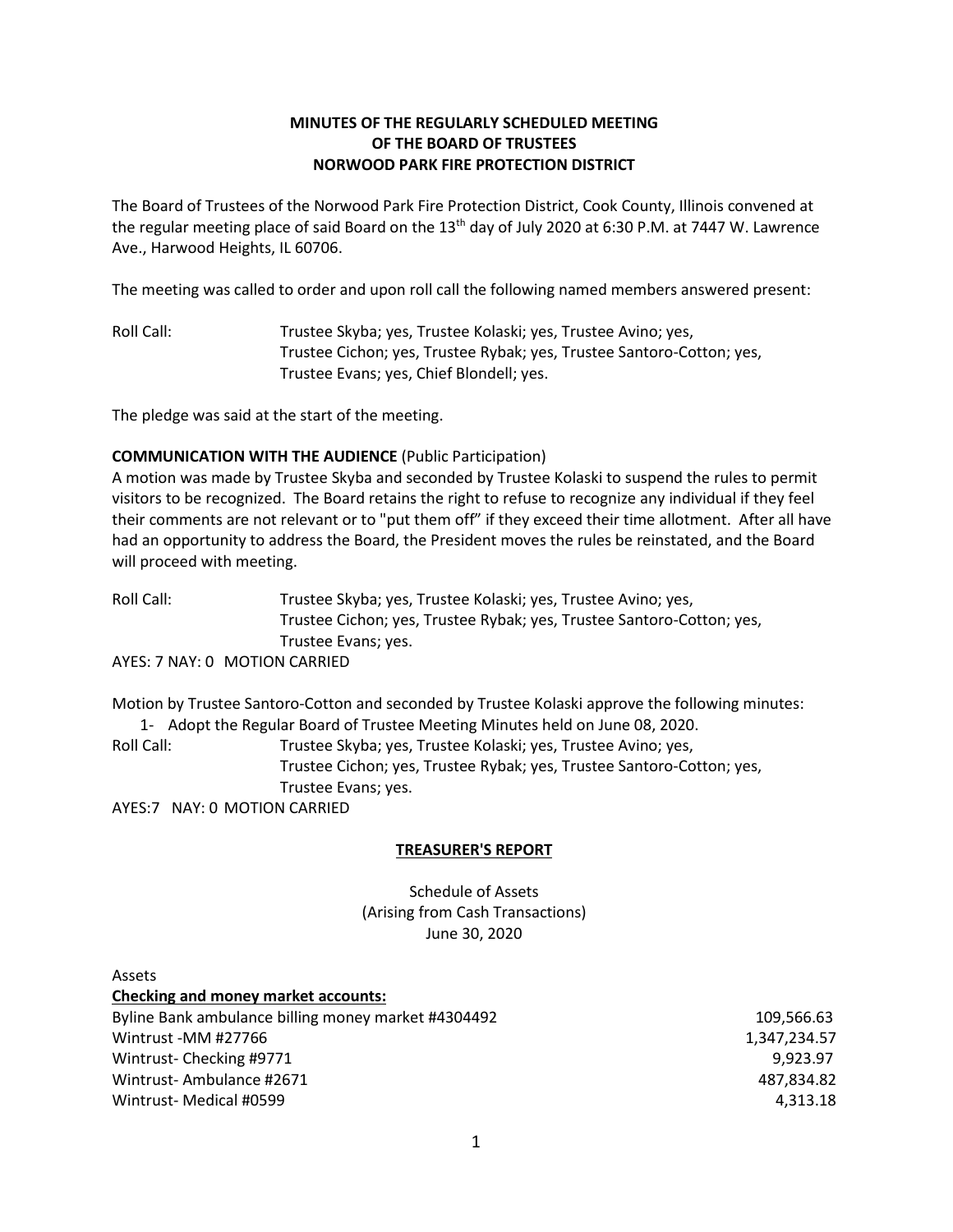# **MINUTES OF THE REGULARLY SCHEDULED MEETING OF THE BOARD OF TRUSTEES NORWOOD PARK FIRE PROTECTION DISTRICT**

The Board of Trustees of the Norwood Park Fire Protection District, Cook County, Illinois convened at the regular meeting place of said Board on the  $13<sup>th</sup>$  day of July 2020 at 6:30 P.M. at 7447 W. Lawrence Ave., Harwood Heights, IL 60706.

The meeting was called to order and upon roll call the following named members answered present:

Roll Call: Trustee Skyba; yes, Trustee Kolaski; yes, Trustee Avino; yes, Trustee Cichon; yes, Trustee Rybak; yes, Trustee Santoro-Cotton; yes, Trustee Evans; yes, Chief Blondell; yes.

The pledge was said at the start of the meeting.

## **COMMUNICATION WITH THE AUDIENCE** (Public Participation)

A motion was made by Trustee Skyba and seconded by Trustee Kolaski to suspend the rules to permit visitors to be recognized. The Board retains the right to refuse to recognize any individual if they feel their comments are not relevant or to "put them off" if they exceed their time allotment. After all have had an opportunity to address the Board, the President moves the rules be reinstated, and the Board will proceed with meeting.

Roll Call: Trustee Skyba; yes, Trustee Kolaski; yes, Trustee Avino; yes, Trustee Cichon; yes, Trustee Rybak; yes, Trustee Santoro-Cotton; yes, Trustee Evans; yes.

AYES: 7 NAY: 0 MOTION CARRIED

Motion by Trustee Santoro-Cotton and seconded by Trustee Kolaski approve the following minutes: 1- Adopt the Regular Board of Trustee Meeting Minutes held on June 08, 2020.

Roll Call: Trustee Skyba; yes, Trustee Kolaski; yes, Trustee Avino; yes, Trustee Cichon; yes, Trustee Rybak; yes, Trustee Santoro-Cotton; yes, Trustee Evans; yes.

AYES:7 NAY: 0 MOTION CARRIED

## **TREASURER'S REPORT**

Schedule of Assets (Arising from Cash Transactions) June 30, 2020

| Assets                                              |              |
|-----------------------------------------------------|--------------|
| <b>Checking and money market accounts:</b>          |              |
| Byline Bank ambulance billing money market #4304492 | 109,566.63   |
| Wintrust -MM #27766                                 | 1,347,234.57 |
| Wintrust-Checking #9771                             | 9.923.97     |
| Wintrust-Ambulance #2671                            | 487.834.82   |
| Wintrust- Medical #0599                             | 4.313.18     |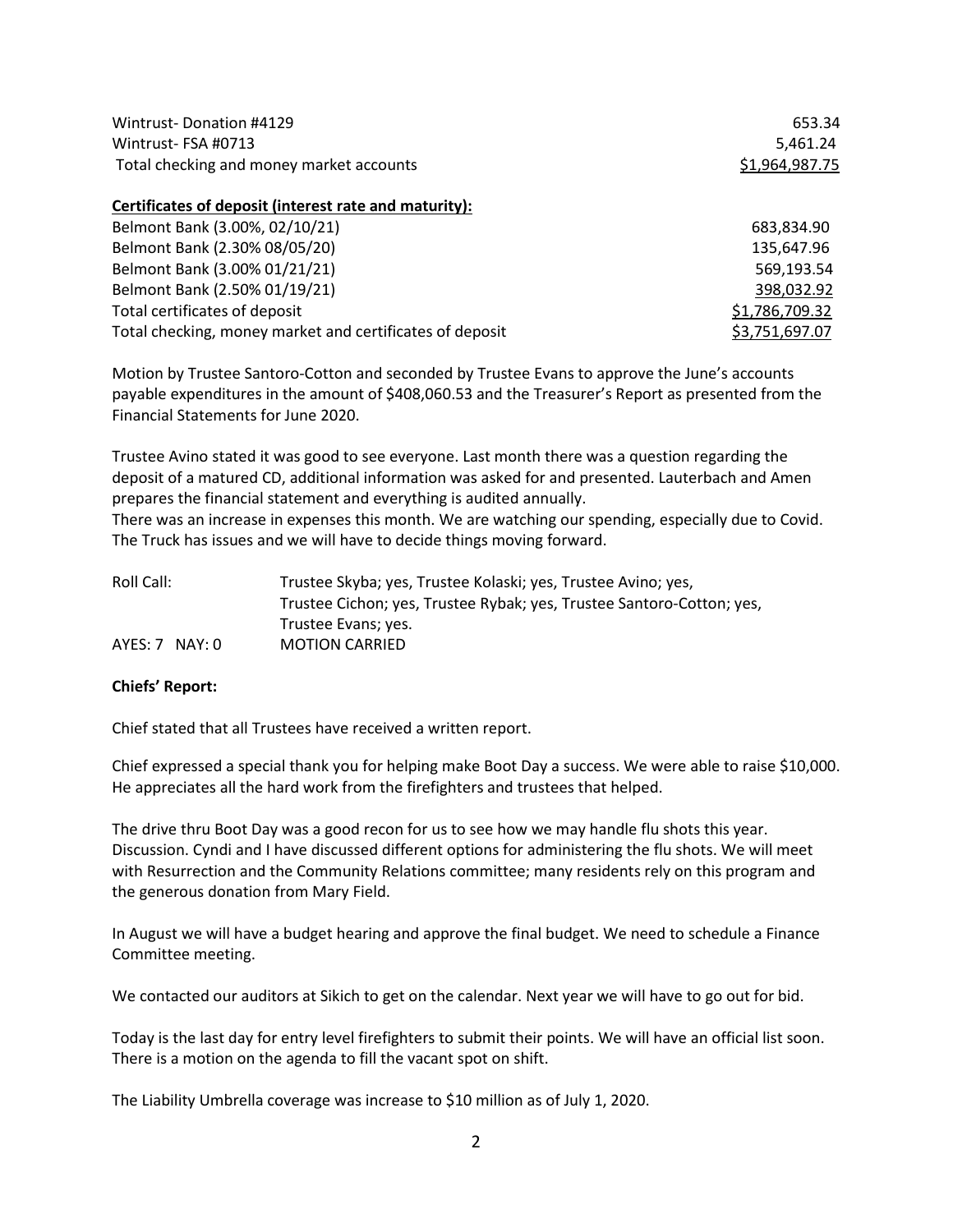| Wintrust-Donation #4129                                  | 653.34         |
|----------------------------------------------------------|----------------|
| Wintrust-FSA #0713                                       | 5,461.24       |
| Total checking and money market accounts                 | \$1,964,987.75 |
| Certificates of deposit (interest rate and maturity):    |                |
| Belmont Bank (3.00%, 02/10/21)                           | 683,834.90     |
| Belmont Bank (2.30% 08/05/20)                            | 135,647.96     |
| Belmont Bank (3.00% 01/21/21)                            | 569,193.54     |
| Belmont Bank (2.50% 01/19/21)                            | 398,032.92     |
| Total certificates of deposit                            | \$1,786,709.32 |
| Total checking, money market and certificates of deposit | \$3,751,697.07 |

Motion by Trustee Santoro-Cotton and seconded by Trustee Evans to approve the June's accounts payable expenditures in the amount of \$408,060.53 and the Treasurer's Report as presented from the Financial Statements for June 2020.

Trustee Avino stated it was good to see everyone. Last month there was a question regarding the deposit of a matured CD, additional information was asked for and presented. Lauterbach and Amen prepares the financial statement and everything is audited annually.

There was an increase in expenses this month. We are watching our spending, especially due to Covid. The Truck has issues and we will have to decide things moving forward.

| Roll Call:       | Trustee Skyba; yes, Trustee Kolaski; yes, Trustee Avino; yes,         |
|------------------|-----------------------------------------------------------------------|
|                  | Trustee Cichon; yes, Trustee Rybak; yes, Trustee Santoro-Cotton; yes, |
|                  | Trustee Evans; yes.                                                   |
| $AYES: 7$ NAY: 0 | <b>MOTION CARRIED</b>                                                 |

#### **Chiefs' Report:**

Chief stated that all Trustees have received a written report.

Chief expressed a special thank you for helping make Boot Day a success. We were able to raise \$10,000. He appreciates all the hard work from the firefighters and trustees that helped.

The drive thru Boot Day was a good recon for us to see how we may handle flu shots this year. Discussion. Cyndi and I have discussed different options for administering the flu shots. We will meet with Resurrection and the Community Relations committee; many residents rely on this program and the generous donation from Mary Field.

In August we will have a budget hearing and approve the final budget. We need to schedule a Finance Committee meeting.

We contacted our auditors at Sikich to get on the calendar. Next year we will have to go out for bid.

Today is the last day for entry level firefighters to submit their points. We will have an official list soon. There is a motion on the agenda to fill the vacant spot on shift.

The Liability Umbrella coverage was increase to \$10 million as of July 1, 2020.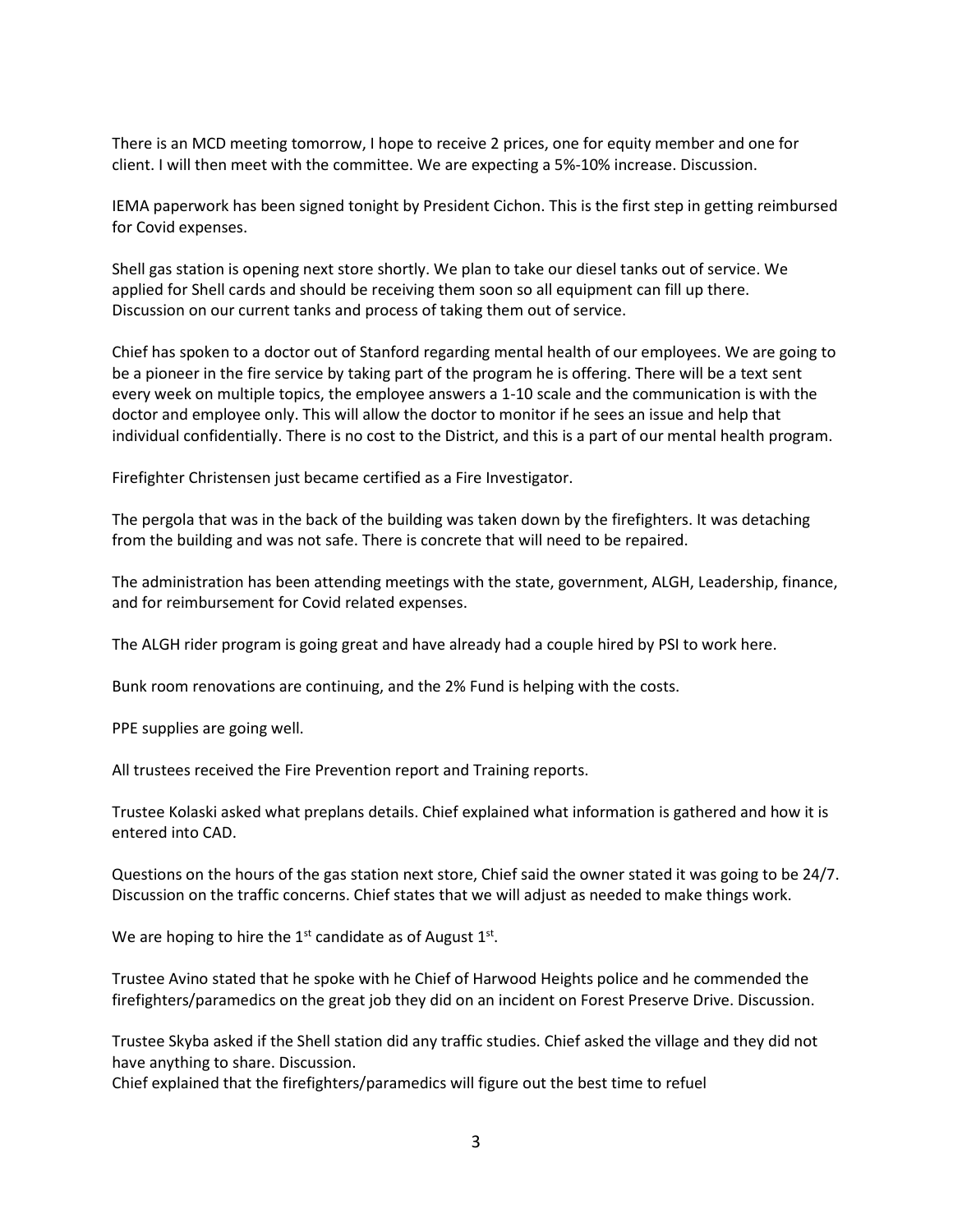There is an MCD meeting tomorrow, I hope to receive 2 prices, one for equity member and one for client. I will then meet with the committee. We are expecting a 5%-10% increase. Discussion.

IEMA paperwork has been signed tonight by President Cichon. This is the first step in getting reimbursed for Covid expenses.

Shell gas station is opening next store shortly. We plan to take our diesel tanks out of service. We applied for Shell cards and should be receiving them soon so all equipment can fill up there. Discussion on our current tanks and process of taking them out of service.

Chief has spoken to a doctor out of Stanford regarding mental health of our employees. We are going to be a pioneer in the fire service by taking part of the program he is offering. There will be a text sent every week on multiple topics, the employee answers a 1-10 scale and the communication is with the doctor and employee only. This will allow the doctor to monitor if he sees an issue and help that individual confidentially. There is no cost to the District, and this is a part of our mental health program.

Firefighter Christensen just became certified as a Fire Investigator.

The pergola that was in the back of the building was taken down by the firefighters. It was detaching from the building and was not safe. There is concrete that will need to be repaired.

The administration has been attending meetings with the state, government, ALGH, Leadership, finance, and for reimbursement for Covid related expenses.

The ALGH rider program is going great and have already had a couple hired by PSI to work here.

Bunk room renovations are continuing, and the 2% Fund is helping with the costs.

PPE supplies are going well.

All trustees received the Fire Prevention report and Training reports.

Trustee Kolaski asked what preplans details. Chief explained what information is gathered and how it is entered into CAD.

Questions on the hours of the gas station next store, Chief said the owner stated it was going to be 24/7. Discussion on the traffic concerns. Chief states that we will adjust as needed to make things work.

We are hoping to hire the  $1<sup>st</sup>$  candidate as of August  $1<sup>st</sup>$ .

Trustee Avino stated that he spoke with he Chief of Harwood Heights police and he commended the firefighters/paramedics on the great job they did on an incident on Forest Preserve Drive. Discussion.

Trustee Skyba asked if the Shell station did any traffic studies. Chief asked the village and they did not have anything to share. Discussion.

Chief explained that the firefighters/paramedics will figure out the best time to refuel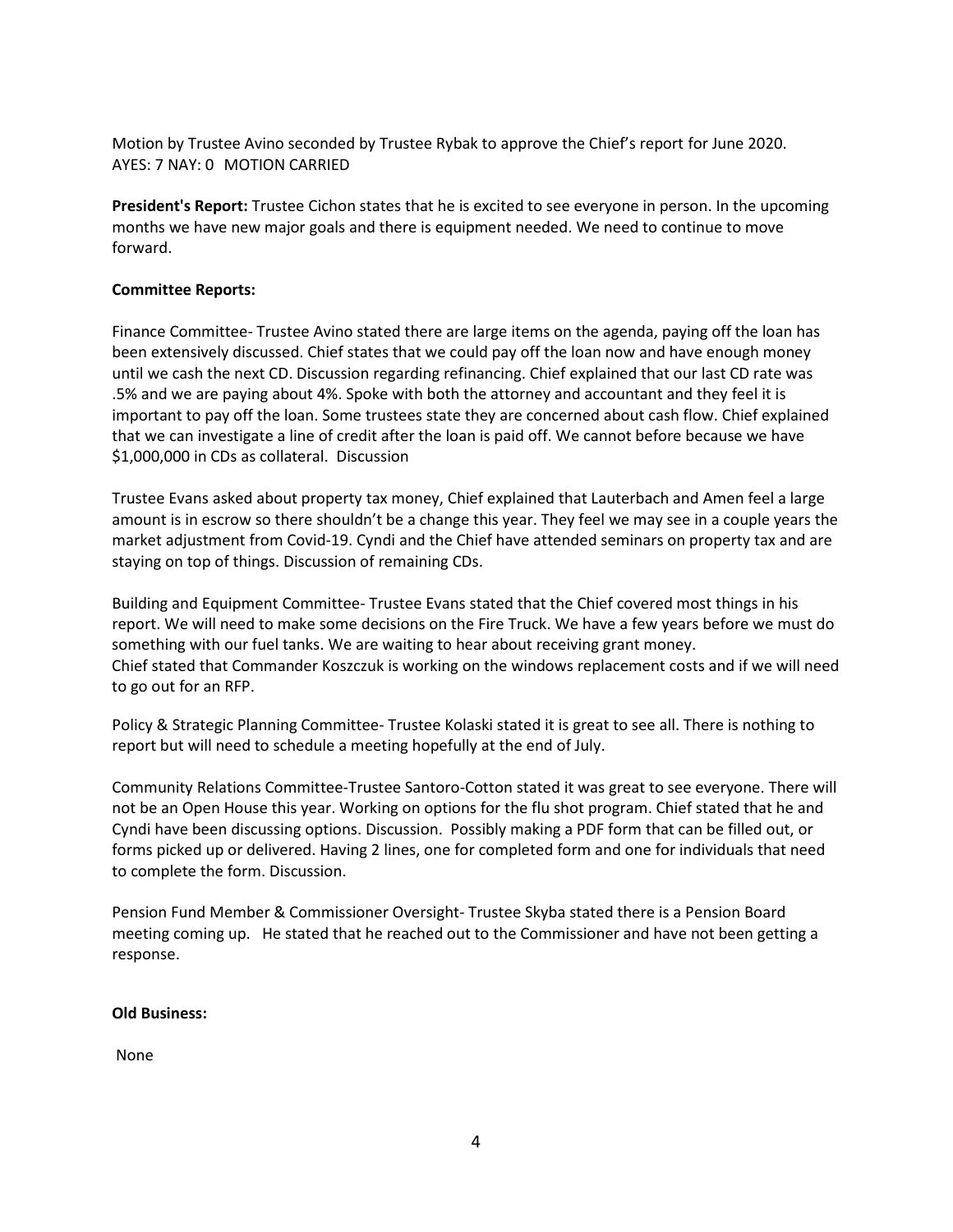Motion by Trustee Avino seconded by Trustee Rybak to approve the Chief's report for June 2020. AYES: 7 NAY: 0 MOTION CARRIED

**President's Report:** Trustee Cichon states that he is excited to see everyone in person. In the upcoming months we have new major goals and there is equipment needed. We need to continue to move forward.

### **Committee Reports:**

Finance Committee- Trustee Avino stated there are large items on the agenda, paying off the loan has been extensively discussed. Chief states that we could pay off the loan now and have enough money until we cash the next CD. Discussion regarding refinancing. Chief explained that our last CD rate was .5% and we are paying about 4%. Spoke with both the attorney and accountant and they feel it is important to pay off the loan. Some trustees state they are concerned about cash flow. Chief explained that we can investigate a line of credit after the loan is paid off. We cannot before because we have \$1,000,000 in CDs as collateral. Discussion

Trustee Evans asked about property tax money, Chief explained that Lauterbach and Amen feel a large amount is in escrow so there shouldn't be a change this year. They feel we may see in a couple years the market adjustment from Covid-19. Cyndi and the Chief have attended seminars on property tax and are staying on top of things. Discussion of remaining CDs.

Building and Equipment Committee- Trustee Evans stated that the Chief covered most things in his report. We will need to make some decisions on the Fire Truck. We have a few years before we must do something with our fuel tanks. We are waiting to hear about receiving grant money. Chief stated that Commander Koszczuk is working on the windows replacement costs and if we will need to go out for an RFP.

Policy & Strategic Planning Committee- Trustee Kolaski stated it is great to see all. There is nothing to report but will need to schedule a meeting hopefully at the end of July.

Community Relations Committee-Trustee Santoro-Cotton stated it was great to see everyone. There will not be an Open House this year. Working on options for the flu shot program. Chief stated that he and Cyndi have been discussing options. Discussion. Possibly making a PDF form that can be filled out, or forms picked up or delivered. Having 2 lines, one for completed form and one for individuals that need to complete the form. Discussion.

Pension Fund Member & Commissioner Oversight- Trustee Skyba stated there is a Pension Board meeting coming up. He stated that he reached out to the Commissioner and have not been getting a response.

#### **Old Business:**

None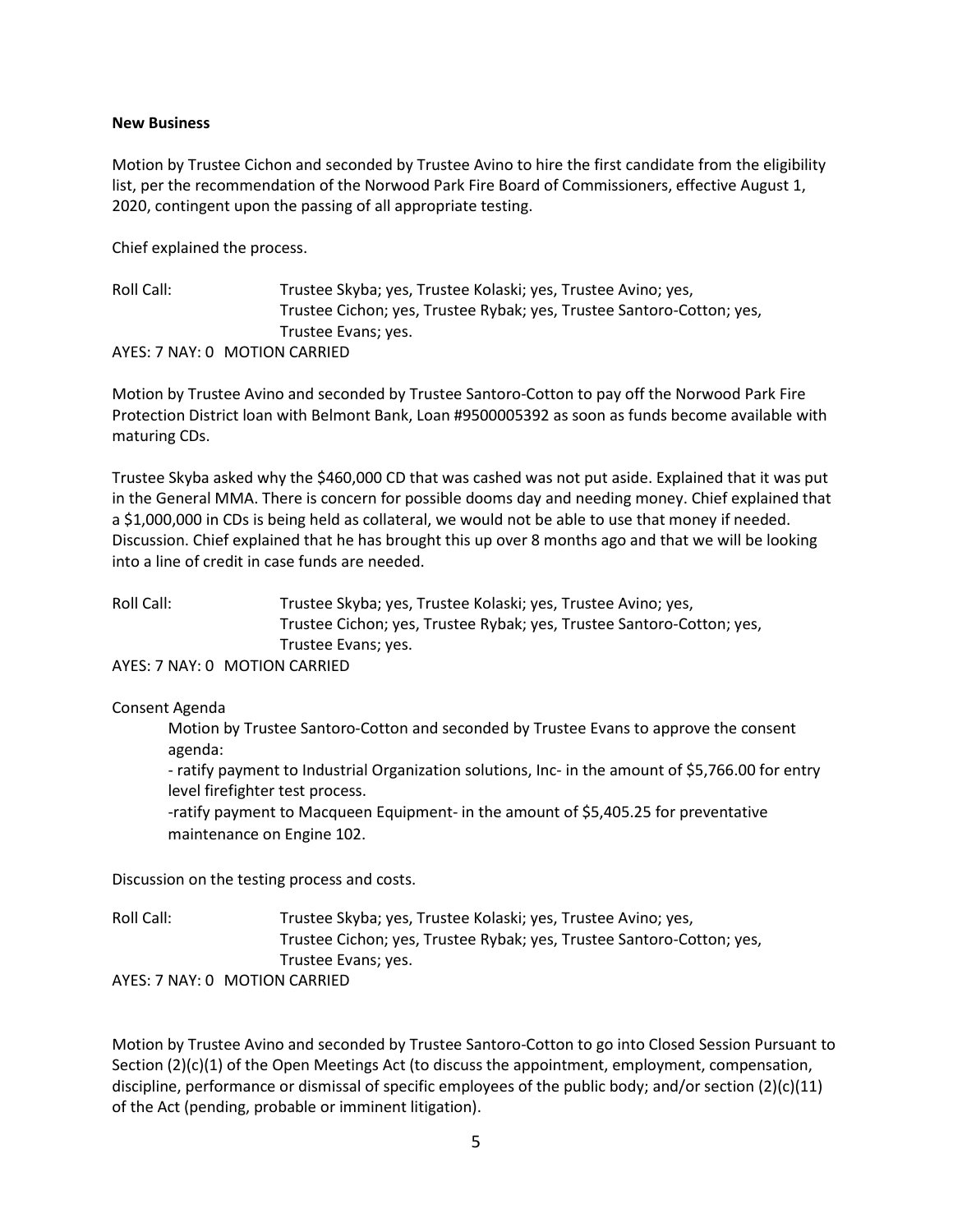#### **New Business**

Motion by Trustee Cichon and seconded by Trustee Avino to hire the first candidate from the eligibility list, per the recommendation of the Norwood Park Fire Board of Commissioners, effective August 1, 2020, contingent upon the passing of all appropriate testing.

Chief explained the process.

Roll Call: Trustee Skyba; yes, Trustee Kolaski; yes, Trustee Avino; yes, Trustee Cichon; yes, Trustee Rybak; yes, Trustee Santoro-Cotton; yes, Trustee Evans; yes. AYES: 7 NAY: 0 MOTION CARRIED

Motion by Trustee Avino and seconded by Trustee Santoro-Cotton to pay off the Norwood Park Fire Protection District loan with Belmont Bank, Loan #9500005392 as soon as funds become available with maturing CDs.

Trustee Skyba asked why the \$460,000 CD that was cashed was not put aside. Explained that it was put in the General MMA. There is concern for possible dooms day and needing money. Chief explained that a \$1,000,000 in CDs is being held as collateral, we would not be able to use that money if needed. Discussion. Chief explained that he has brought this up over 8 months ago and that we will be looking into a line of credit in case funds are needed.

Roll Call: Trustee Skyba; yes, Trustee Kolaski; yes, Trustee Avino; yes, Trustee Cichon; yes, Trustee Rybak; yes, Trustee Santoro-Cotton; yes, Trustee Evans; yes.

AYES: 7 NAY: 0 MOTION CARRIED

Consent Agenda

Motion by Trustee Santoro-Cotton and seconded by Trustee Evans to approve the consent agenda:

- ratify payment to Industrial Organization solutions, Inc- in the amount of \$5,766.00 for entry level firefighter test process.

-ratify payment to Macqueen Equipment- in the amount of \$5,405.25 for preventative maintenance on Engine 102.

Discussion on the testing process and costs.

Roll Call: Trustee Skyba; yes, Trustee Kolaski; yes, Trustee Avino; yes, Trustee Cichon; yes, Trustee Rybak; yes, Trustee Santoro-Cotton; yes, Trustee Evans; yes. AYES: 7 NAY: 0 MOTION CARRIED

Motion by Trustee Avino and seconded by Trustee Santoro-Cotton to go into Closed Session Pursuant to Section (2)(c)(1) of the Open Meetings Act (to discuss the appointment, employment, compensation, discipline, performance or dismissal of specific employees of the public body; and/or section (2)(c)(11) of the Act (pending, probable or imminent litigation).